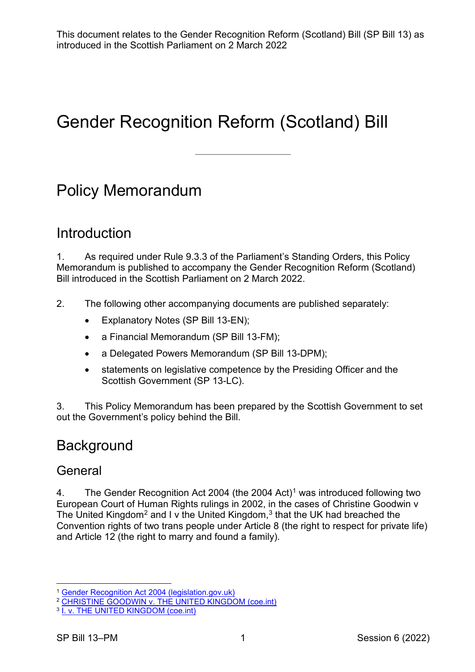——————————

# Gender Recognition Reform (Scotland) Bill

## Policy Memorandum

## Introduction

1. As required under Rule 9.3.3 of the Parliament's Standing Orders, this Policy Memorandum is published to accompany the Gender Recognition Reform (Scotland) Bill introduced in the Scottish Parliament on 2 March 2022.

- 2. The following other accompanying documents are published separately:
	- Explanatory Notes (SP Bill 13-EN);
	- a Financial Memorandum (SP Bill 13-FM);
	- a Delegated Powers Memorandum (SP Bill 13-DPM);
	- statements on legislative competence by the Presiding Officer and the Scottish Government (SP 13-LC).

3. This Policy Memorandum has been prepared by the Scottish Government to set out the Government's policy behind the Bill.

## **Background**

#### **General**

4. The Gender Recognition Act 2004 (the 2004 Act)<sup>[1](#page-0-0)</sup> was introduced following two European Court of Human Rights rulings in 2002, in the cases of Christine Goodwin v The United Kingdom<sup>[2](#page-0-1)</sup> and I v the United Kingdom,<sup>[3](#page-0-2)</sup> that the UK had breached the Convention rights of two trans people under Article 8 (the right to respect for private life) and Article 12 (the right to marry and found a family).

<span id="page-0-0"></span><sup>&</sup>lt;sup>1</sup> [Gender Recognition Act 2004 \(legislation.gov.uk\)](https://www.legislation.gov.uk/ukpga/2004/7/contents)

<span id="page-0-1"></span><sup>&</sup>lt;sup>2</sup> [CHRISTINE GOODWIN v. THE UNITED KINGDOM \(coe.int\)](https://hudoc.echr.coe.int/eng#%7B%22itemid%22:%5B%22001-60596%22%5D%7D)

<span id="page-0-2"></span><sup>&</sup>lt;sup>3</sup> [I. v. THE UNITED KINGDOM \(coe.int\)](https://hudoc.echr.coe.int/eng#%7B%22itemid%22:%5B%22001-60595%22%5D%7D)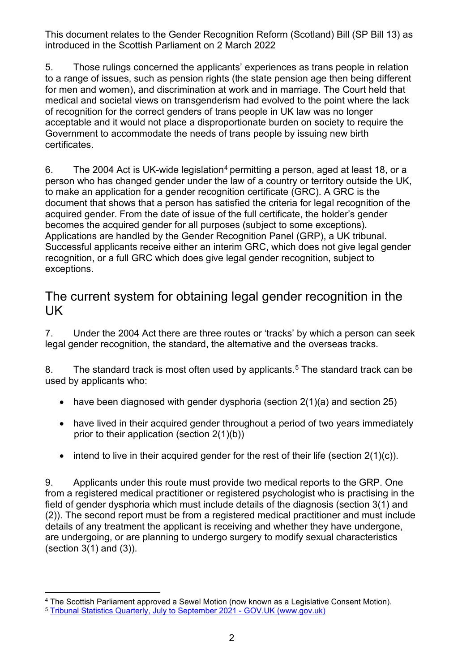5. Those rulings concerned the applicants' experiences as trans people in relation to a range of issues, such as pension rights (the state pension age then being different for men and women), and discrimination at work and in marriage. The Court held that medical and societal views on transgenderism had evolved to the point where the lack of recognition for the correct genders of trans people in UK law was no longer acceptable and it would not place a disproportionate burden on society to require the Government to accommodate the needs of trans people by issuing new birth certificates.

6. The 200[4](#page-1-0) Act is UK-wide legislation<sup>4</sup> permitting a person, aged at least 18, or a person who has changed gender under the law of a country or territory outside the UK, to make an application for a gender recognition certificate (GRC). A GRC is the document that shows that a person has satisfied the criteria for legal recognition of the acquired gender. From the date of issue of the full certificate, the holder's gender becomes the acquired gender for all purposes (subject to some exceptions). Applications are handled by the Gender Recognition Panel (GRP), a UK tribunal. Successful applicants receive either an interim GRC, which does not give legal gender recognition, or a full GRC which does give legal gender recognition, subject to exceptions.

#### The current system for obtaining legal gender recognition in the UK

7. Under the 2004 Act there are three routes or 'tracks' by which a person can seek legal gender recognition, the standard, the alternative and the overseas tracks.

8. The standard track is most often used by applicants.<sup>[5](#page-1-1)</sup> The standard track can be used by applicants who:

- have been diagnosed with gender dysphoria (section  $2(1)(a)$  and section  $25$ )
- have lived in their acquired gender throughout a period of two years immediately prior to their application (section 2(1)(b))
- intend to live in their acquired gender for the rest of their life (section  $2(1)(c)$ ).

9. Applicants under this route must provide two medical reports to the GRP. One from a registered medical practitioner or registered psychologist who is practising in the field of gender dysphoria which must include details of the diagnosis (section 3(1) and (2)). The second report must be from a registered medical practitioner and must include details of any treatment the applicant is receiving and whether they have undergone, are undergoing, or are planning to undergo surgery to modify sexual characteristics (section 3(1) and (3)).

<span id="page-1-0"></span><sup>4</sup> The Scottish Parliament approved a Sewel Motion (now known as a Legislative Consent Motion).

<span id="page-1-1"></span><sup>5</sup> [Tribunal Statistics Quarterly, July to September 2021 -](https://www.gov.uk/government/statistics/tribunal-statistics-quarterly-july-to-september-2021/tribunal-statistics-quarterly-july-to-september-2021) GOV.UK (www.gov.uk)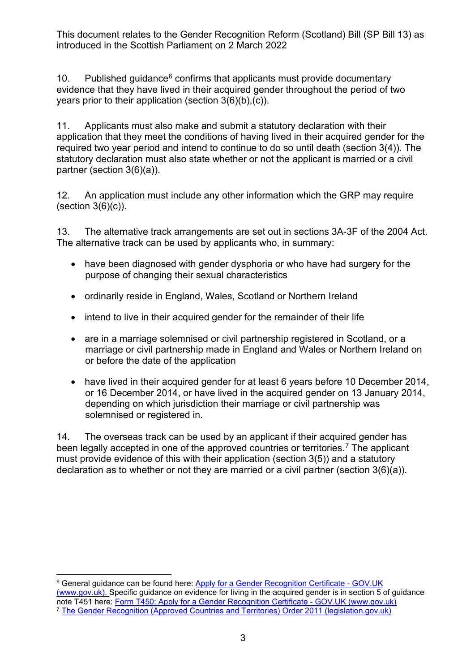10. Published guidance $6$  confirms that applicants must provide documentary evidence that they have lived in their acquired gender throughout the period of two years prior to their application (section 3(6)(b),(c)).

11. Applicants must also make and submit a statutory declaration with their application that they meet the conditions of having lived in their acquired gender for the required two year period and intend to continue to do so until death (section 3(4)). The statutory declaration must also state whether or not the applicant is married or a civil partner (section 3(6)(a)).

12. An application must include any other information which the GRP may require  $(section 3(6)(c))$ .

13. The alternative track arrangements are set out in sections 3A-3F of the 2004 Act. The alternative track can be used by applicants who, in summary:

- have been diagnosed with gender dysphoria or who have had surgery for the purpose of changing their sexual characteristics
- ordinarily reside in England, Wales, Scotland or Northern Ireland
- intend to live in their acquired gender for the remainder of their life
- are in a marriage solemnised or civil partnership registered in Scotland, or a marriage or civil partnership made in England and Wales or Northern Ireland on or before the date of the application
- have lived in their acquired gender for at least 6 years before 10 December 2014, or 16 December 2014, or have lived in the acquired gender on 13 January 2014, depending on which jurisdiction their marriage or civil partnership was solemnised or registered in.

14. The overseas track can be used by an applicant if their acquired gender has been legally accepted in one of the approved countries or territories.<sup>[7](#page-2-1)</sup> The applicant must provide evidence of this with their application (section 3(5)) and a statutory declaration as to whether or not they are married or a civil partner (section 3(6)(a)).

<span id="page-2-1"></span><span id="page-2-0"></span><sup>6</sup> General guidance can be found here: [Apply for a Gender Recognition Certificate -](https://www.gov.uk/apply-gender-recognition-certificate) GOV.UK [\(www.gov.uk\).](https://www.gov.uk/apply-gender-recognition-certificate) Specific guidance on evidence for living in the acquired gender is in section 5 of guidance note T451 here: [Form T450: Apply for a Gender Recognition Certificate -](https://www.gov.uk/government/publications/apply-for-a-gender-recognition-certificate-form-t450) GOV.UK (www.gov.uk) <sup>7</sup> [The Gender Recognition \(Approved Countries and Territories\) Order 2011 \(legislation.gov.uk\)](https://www.legislation.gov.uk/uksi/2011/1630/contents/made)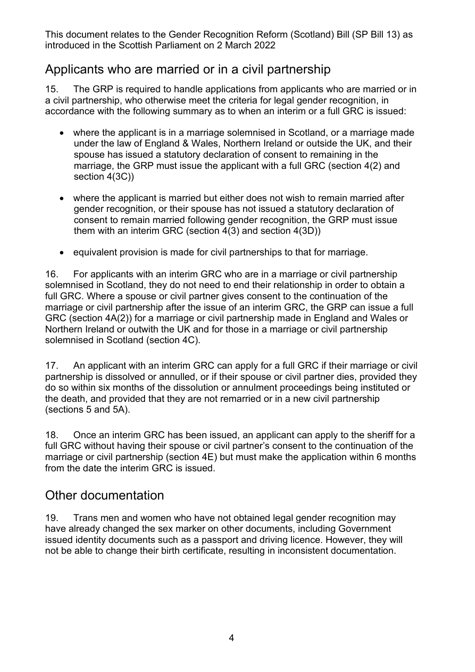#### Applicants who are married or in a civil partnership

15. The GRP is required to handle applications from applicants who are married or in a civil partnership, who otherwise meet the criteria for legal gender recognition, in accordance with the following summary as to when an interim or a full GRC is issued:

- where the applicant is in a marriage solemnised in Scotland, or a marriage made under the law of England & Wales, Northern Ireland or outside the UK, and their spouse has issued a statutory declaration of consent to remaining in the marriage, the GRP must issue the applicant with a full GRC (section 4(2) and section 4(3C))
- where the applicant is married but either does not wish to remain married after gender recognition, or their spouse has not issued a statutory declaration of consent to remain married following gender recognition, the GRP must issue them with an interim GRC (section 4(3) and section 4(3D))
- equivalent provision is made for civil partnerships to that for marriage.

16. For applicants with an interim GRC who are in a marriage or civil partnership solemnised in Scotland, they do not need to end their relationship in order to obtain a full GRC. Where a spouse or civil partner gives consent to the continuation of the marriage or civil partnership after the issue of an interim GRC, the GRP can issue a full GRC (section 4A(2)) for a marriage or civil partnership made in England and Wales or Northern Ireland or outwith the UK and for those in a marriage or civil partnership solemnised in Scotland (section 4C).

17. An applicant with an interim GRC can apply for a full GRC if their marriage or civil partnership is dissolved or annulled, or if their spouse or civil partner dies, provided they do so within six months of the dissolution or annulment proceedings being instituted or the death, and provided that they are not remarried or in a new civil partnership (sections 5 and 5A).

18. Once an interim GRC has been issued, an applicant can apply to the sheriff for a full GRC without having their spouse or civil partner's consent to the continuation of the marriage or civil partnership (section 4E) but must make the application within 6 months from the date the interim GRC is issued.

#### Other documentation

19. Trans men and women who have not obtained legal gender recognition may have already changed the sex marker on other documents, including Government issued identity documents such as a passport and driving licence. However, they will not be able to change their birth certificate, resulting in inconsistent documentation.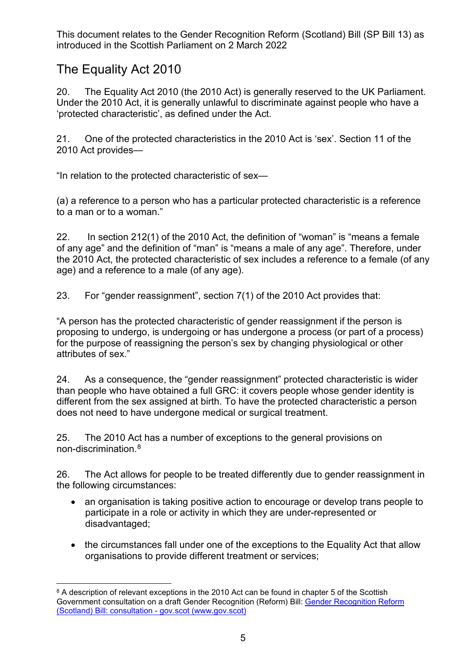## The Equality Act 2010

20. The Equality Act 2010 (the 2010 Act) is generally reserved to the UK Parliament. Under the 2010 Act, it is generally unlawful to discriminate against people who have a 'protected characteristic', as defined under the Act.

21. One of the protected characteristics in the 2010 Act is 'sex'. Section 11 of the 2010 Act provides—

"In relation to the protected characteristic of sex—

(a) a reference to a person who has a particular protected characteristic is a reference to a man or to a woman."

22. In section 212(1) of the 2010 Act, the definition of "woman" is "means a female of any age" and the definition of "man" is "means a male of any age". Therefore, under the 2010 Act, the protected characteristic of sex includes a reference to a female (of any age) and a reference to a male (of any age).

23. For "gender reassignment", section 7(1) of the 2010 Act provides that:

"A person has the protected characteristic of gender reassignment if the person is proposing to undergo, is undergoing or has undergone a process (or part of a process) for the purpose of reassigning the person's sex by changing physiological or other attributes of sex."

24. As a consequence, the "gender reassignment" protected characteristic is wider than people who have obtained a full GRC: it covers people whose gender identity is different from the sex assigned at birth. To have the protected characteristic a person does not need to have undergone medical or surgical treatment.

25. The 2010 Act has a number of exceptions to the general provisions on non-discrimination.[8](#page-4-0)

26. The Act allows for people to be treated differently due to gender reassignment in the following circumstances:

- an organisation is taking [positive action](https://www.equalityhumanrights.com/en/advice-and-guidance/commonly-used-terms-equal-rights#h8) to encourage or develop trans people to participate in a role or activity in which they are under-represented or disadvantaged;
- the circumstances fall under one of the exceptions to the Equality Act that allow organisations to provide different treatment or services;

<span id="page-4-0"></span><sup>&</sup>lt;sup>8</sup> A description of relevant exceptions in the 2010 Act can be found in chapter 5 of the Scottish Government consultation on a draft Gender Recognition (Reform) Bill: [Gender Recognition Reform](https://www.gov.scot/publications/gender-recognition-reform-scotland-bill-consultation-scottish-government/pages/7/)  [\(Scotland\) Bill: consultation -](https://www.gov.scot/publications/gender-recognition-reform-scotland-bill-consultation-scottish-government/pages/7/) gov.scot (www.gov.scot)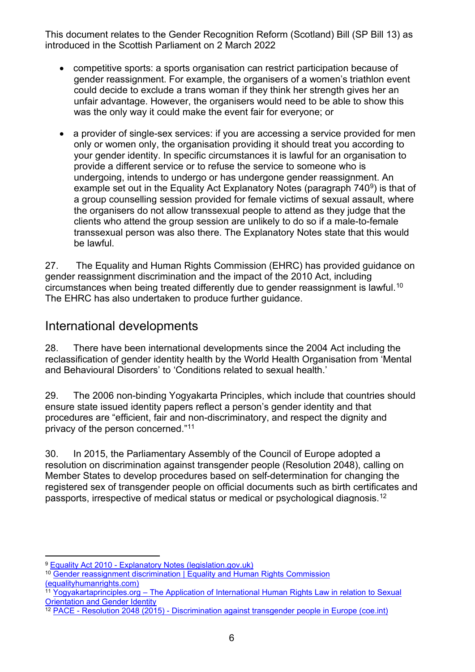- competitive sports: a sports organisation can restrict participation because of gender reassignment. For example, the organisers of a women's triathlon event could decide to exclude a trans woman if they think her strength gives her an unfair advantage. However, the organisers would need to be able to show this was the only way it could make the event fair for everyone; or
- a provider of single-sex services: if you are accessing a service provided for men only or women only, the organisation providing it should treat you according to your gender identity. In specific circumstances it is lawful for an organisation to provide a different service or to refuse the service to someone who is undergoing, intends to undergo or has undergone gender reassignment. An example set out in the Equality Act Explanatory Notes (paragraph  $740<sup>9</sup>$ ) is that of a group counselling session provided for female victims of sexual assault, where the organisers do not allow transsexual people to attend as they judge that the clients who attend the group session are unlikely to do so if a male-to-female transsexual person was also there. The Explanatory Notes state that this would be lawful.

27. The Equality and Human Rights Commission (EHRC) has provided guidance on gender reassignment discrimination and the impact of the 2010 Act, including circumstances when being treated differently due to gender reassignment is lawful. $^{\rm 10}$  $^{\rm 10}$  $^{\rm 10}$ The EHRC has also undertaken to produce further guidance.

#### International developments

28. There have been international developments since the 2004 Act including the reclassification of gender identity health by the World Health Organisation from 'Mental and Behavioural Disorders' to 'Conditions related to sexual health.'

29. The 2006 non-binding Yogyakarta Principles, which include that countries should ensure state issued identity papers reflect a person's gender identity and that procedures are "efficient, fair and non-discriminatory, and respect the dignity and privacy of the person concerned."[11](#page-5-2)

30. In 2015, the Parliamentary Assembly of the Council of Europe adopted a resolution on discrimination against transgender people (Resolution 2048), calling on Member States to develop procedures based on self-determination for changing the registered sex of transgender people on official documents such as birth certificates and passports, irrespective of medical status or medical or psychological diagnosis.[12](#page-5-3) 

<span id="page-5-0"></span><sup>9</sup> Equality Act 2010 - [Explanatory Notes \(legislation.gov.uk\)](https://www.legislation.gov.uk/ukpga/2010/15/notes/division/3/16/20/7)

<span id="page-5-1"></span><sup>10</sup> [Gender reassignment discrimination | Equality and Human Rights Commission](https://www.equalityhumanrights.com/en/advice-and-guidance/gender-reassignment-discrimination)  [\(equalityhumanrights.com\)](https://www.equalityhumanrights.com/en/advice-and-guidance/gender-reassignment-discrimination)

<span id="page-5-2"></span><sup>11</sup> Yogyakartaprinciples.org – The Application of International Human Rights Law in relation to Sexual [Orientation and Gender Identity](http://yogyakartaprinciples.org/)

<span id="page-5-3"></span><sup>&</sup>lt;sup>12</sup> PACE - Resolution 2048 (2015) - [Discrimination against transgender people in Europe \(coe.int\)](http://assembly.coe.int/nw/xml/XRef/Xref-XML2HTML-en.asp?fileid=21736&lang=en)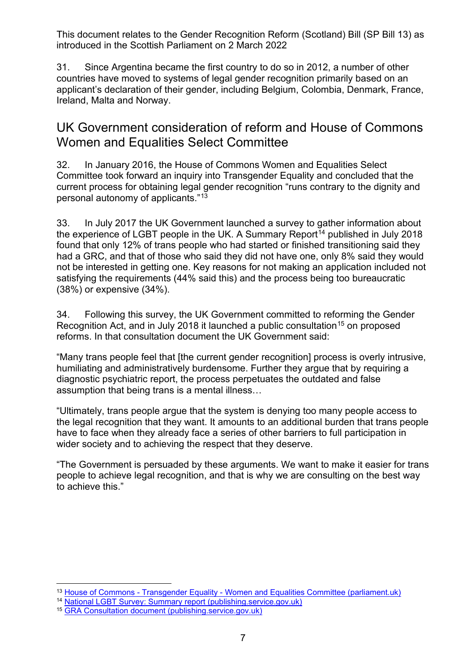31. Since Argentina became the first country to do so in 2012, a number of other countries have moved to systems of legal gender recognition primarily based on an applicant's declaration of their gender, including Belgium, Colombia, Denmark, France, Ireland, Malta and Norway.

#### UK Government consideration of reform and House of Commons Women and Equalities Select Committee

32. In January 2016, the House of Commons Women and Equalities Select Committee took forward an inquiry into Transgender Equality and concluded that the current process for obtaining legal gender recognition "runs contrary to the dignity and personal autonomy of applicants."[13](#page-6-0)

33. In July 2017 the UK Government launched a survey to gather information about the experience of LGBT people in the UK. A Summary Report<sup>[14](#page-6-1)</sup> published in July 2018 found that only 12% of trans people who had started or finished transitioning said they had a GRC, and that of those who said they did not have one, only 8% said they would not be interested in getting one. Key reasons for not making an application included not satisfying the requirements (44% said this) and the process being too bureaucratic (38%) or expensive (34%).

34. Following this survey, the UK Government committed to reforming the Gender Recognition Act, and in July 2018 it launched a public consultation<sup>[15](#page-6-2)</sup> on proposed reforms. In that consultation document the UK Government said:

"Many trans people feel that [the current gender recognition] process is overly intrusive, humiliating and administratively burdensome. Further they argue that by requiring a diagnostic psychiatric report, the process perpetuates the outdated and false assumption that being trans is a mental illness…

"Ultimately, trans people argue that the system is denying too many people access to the legal recognition that they want. It amounts to an additional burden that trans people have to face when they already face a series of other barriers to full participation in wider society and to achieving the respect that they deserve.

"The Government is persuaded by these arguments. We want to make it easier for trans people to achieve legal recognition, and that is why we are consulting on the best way to achieve this."

<span id="page-6-0"></span><sup>&</sup>lt;sup>13</sup> House of Commons - Transgender Equality - [Women and Equalities Committee \(parliament.uk\)](https://publications.parliament.uk/pa/cm201516/cmselect/cmwomeq/390/39003.htm#_idTextAnchor216)

<span id="page-6-1"></span><sup>14</sup> [National LGBT Survey: Summary report \(publishing.service.gov.uk\)](https://assets.publishing.service.gov.uk/government/uploads/system/uploads/attachment_data/file/722314/GEO-LGBT-Survey-Report.pdf)

<span id="page-6-2"></span><sup>15</sup> [GRA Consultation document \(publishing.service.gov.uk\)](https://assets.publishing.service.gov.uk/government/uploads/system/uploads/attachment_data/file/721725/GRA-Consultation-document.pdf)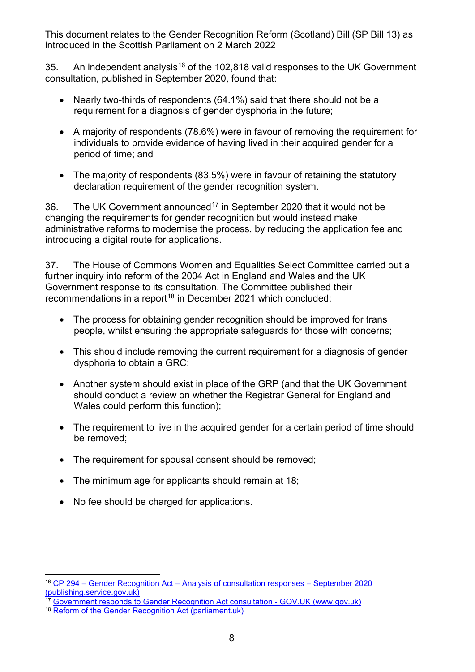35. An independent analysis<sup>[16](#page-7-0)</sup> of the 102,818 valid responses to the UK Government consultation, published in September 2020, found that:

- Nearly two-thirds of respondents (64.1%) said that there should not be a requirement for a diagnosis of gender dysphoria in the future;
- A majority of respondents (78.6%) were in favour of removing the requirement for individuals to provide evidence of having lived in their acquired gender for a period of time; and
- The majority of respondents (83.5%) were in favour of retaining the statutory declaration requirement of the gender recognition system.

36. The UK Government announced<sup>[17](#page-7-1)</sup> in September 2020 that it would not be changing the requirements for gender recognition but would instead make administrative reforms to modernise the process, by reducing the application fee and introducing a digital route for applications.

37. The House of Commons Women and Equalities Select Committee carried out a further inquiry into reform of the 2004 Act in England and Wales and the UK Government response to its consultation. The Committee published their recommendations in a report<sup>[18](#page-7-2)</sup> in December 2021 which concluded:

- The process for obtaining gender recognition should be improved for trans people, whilst ensuring the appropriate safeguards for those with concerns;
- This should include removing the current requirement for a diagnosis of gender dysphoria to obtain a GRC;
- Another system should exist in place of the GRP (and that the UK Government should conduct a review on whether the Registrar General for England and Wales could perform this function);
- The requirement to live in the acquired gender for a certain period of time should be removed;
- The requirement for spousal consent should be removed:
- The minimum age for applicants should remain at 18;
- No fee should be charged for applications.

<span id="page-7-0"></span><sup>16</sup> CP 294 – Gender Recognition Act – [Analysis of consultation responses –](https://assets.publishing.service.gov.uk/government/uploads/system/uploads/attachment_data/file/919890/Analysis_of_responses_Gender_Recognition_Act.pdf#:%7E:text=A%20%20public%20consultation%20%20about%20reform%20,%20140%20organisations%20to%20%20hear%20their%20views.) September 2020 [\(publishing.service.gov.uk\)](https://assets.publishing.service.gov.uk/government/uploads/system/uploads/attachment_data/file/919890/Analysis_of_responses_Gender_Recognition_Act.pdf#:%7E:text=A%20%20public%20consultation%20%20about%20reform%20,%20140%20organisations%20to%20%20hear%20their%20views.)

<span id="page-7-1"></span><sup>&</sup>lt;sup>17</sup> [Government responds to Gender Recognition Act consultation -](https://www.gov.uk/government/news/government-responds-to-gender-recognition-act-consultation) GOV.UK (www.gov.uk)

<span id="page-7-2"></span><sup>18</sup> [Reform of the Gender Recognition Act \(parliament.uk\)](https://committees.parliament.uk/publications/8329/documents/84728/default/)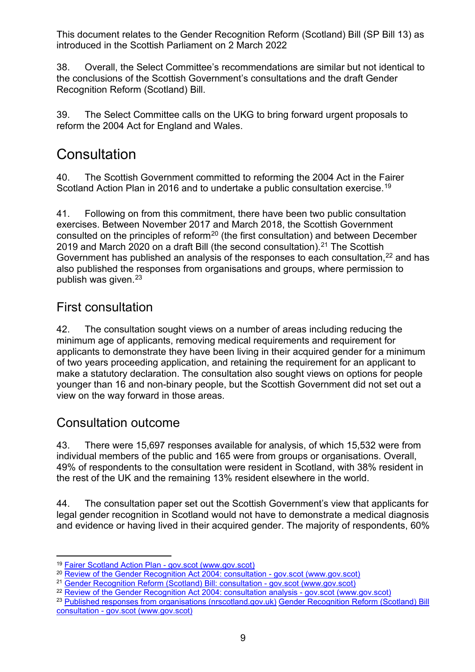38. Overall, the Select Committee's recommendations are similar but not identical to the conclusions of the Scottish Government's consultations and the draft Gender Recognition Reform (Scotland) Bill.

39. The Select Committee calls on the UKG to bring forward urgent proposals to reform the 2004 Act for England and Wales.

## **Consultation**

40. The Scottish Government committed to reforming the 2004 Act in the Fairer Scotland Action Plan in 2016 and to undertake a public consultation exercise.[19](#page-8-0)

41. Following on from this commitment, there have been two public consultation exercises. Between November 2017 and March 2018, the Scottish Government consulted on the principles of reform<sup>[20](#page-8-1)</sup> (the first consultation) and between December 2019 and March 2020 on a draft Bill (the second consultation). [21](#page-8-2) The Scottish Government has published an analysis of the responses to each consultation,  $22$  and has also published the responses from organisations and groups, where permission to publish was given[.23](#page-8-4)

## First consultation

42. The consultation sought views on a number of areas including reducing the minimum age of applicants, removing medical requirements and requirement for applicants to demonstrate they have been living in their acquired gender for a minimum of two years proceeding application, and retaining the requirement for an applicant to make a statutory declaration. The consultation also sought views on options for people younger than 16 and non-binary people, but the Scottish Government did not set out a view on the way forward in those areas.

## Consultation outcome

43. There were 15,697 responses available for analysis, of which 15,532 were from individual members of the public and 165 were from groups or organisations. Overall, 49% of respondents to the consultation were resident in Scotland, with 38% resident in the rest of the UK and the remaining 13% resident elsewhere in the world.

44. The consultation paper set out the Scottish Government's view that applicants for legal gender recognition in Scotland would not have to demonstrate a medical diagnosis and evidence or having lived in their acquired gender. The majority of respondents, 60%

<span id="page-8-0"></span><sup>19</sup> [Fairer Scotland Action Plan -](https://www.gov.scot/publications/fairer-scotland-action-plan/) gov.scot (www.gov.scot)

<span id="page-8-1"></span><sup>&</sup>lt;sup>20</sup> [Review of the Gender Recognition Act 2004: consultation -](https://www.gov.scot/publications/review-gender-recognition-act-2004/) gov.scot (www.gov.scot)

<span id="page-8-2"></span><sup>21</sup> [Gender Recognition Reform \(Scotland\) Bill: consultation -](https://www.gov.scot/publications/gender-recognition-reform-scotland-bill-consultation-scottish-government/) gov.scot (www.gov.scot)

<span id="page-8-3"></span><sup>&</sup>lt;sup>22</sup> [Review of the Gender Recognition Act 2004: consultation analysis -](https://www.gov.scot/publications/review-gender-recognition-act-2004-analysis-responses-public-consultation-exercise-report/pages/3/) gov.scot (www.gov.scot)

<span id="page-8-4"></span><sup>&</sup>lt;sup>23</sup> [Published responses from organisations \(nrscotland.gov.uk\)](https://webarchive.nrscotland.gov.uk/20190116052027/https:/www2.gov.scot/Topics/Justice/law/17867/gender-recognition-review/review-of-gender-recognition-act-2004-list-of-orga/published-responses-from-organisations) Gender Recognition Reform (Scotland) Bill consultation - [gov.scot \(www.gov.scot\)](https://www.gov.scot/collections/gender-recognition-reform-scotland-bill-consultation/)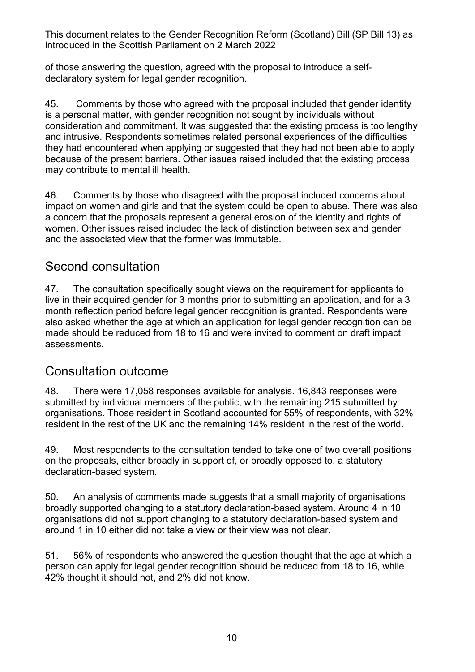of those answering the question, agreed with the proposal to introduce a selfdeclaratory system for legal gender recognition.

45. Comments by those who agreed with the proposal included that gender identity is a personal matter, with gender recognition not sought by individuals without consideration and commitment. It was suggested that the existing process is too lengthy and intrusive. Respondents sometimes related personal experiences of the difficulties they had encountered when applying or suggested that they had not been able to apply because of the present barriers. Other issues raised included that the existing process may contribute to mental ill health.

46. Comments by those who disagreed with the proposal included concerns about impact on women and girls and that the system could be open to abuse. There was also a concern that the proposals represent a general erosion of the identity and rights of women. Other issues raised included the lack of distinction between sex and gender and the associated view that the former was immutable.

## Second consultation

47. The consultation specifically sought views on the requirement for applicants to live in their acquired gender for 3 months prior to submitting an application, and for a 3 month reflection period before legal gender recognition is granted. Respondents were also asked whether the age at which an application for legal gender recognition can be made should be reduced from 18 to 16 and were invited to comment on draft impact assessments.

## Consultation outcome

48. There were 17,058 responses available for analysis. 16,843 responses were submitted by individual members of the public, with the remaining 215 submitted by organisations. Those resident in Scotland accounted for 55% of respondents, with 32% resident in the rest of the UK and the remaining 14% resident in the rest of the world.

49. Most respondents to the consultation tended to take one of two overall positions on the proposals, either broadly in support of, or broadly opposed to, a statutory declaration-based system.

50. An analysis of comments made suggests that a small majority of organisations broadly supported changing to a statutory declaration-based system. Around 4 in 10 organisations did not support changing to a statutory declaration-based system and around 1 in 10 either did not take a view or their view was not clear.

51. 56% of respondents who answered the question thought that the age at which a person can apply for legal gender recognition should be reduced from 18 to 16, while 42% thought it should not, and 2% did not know.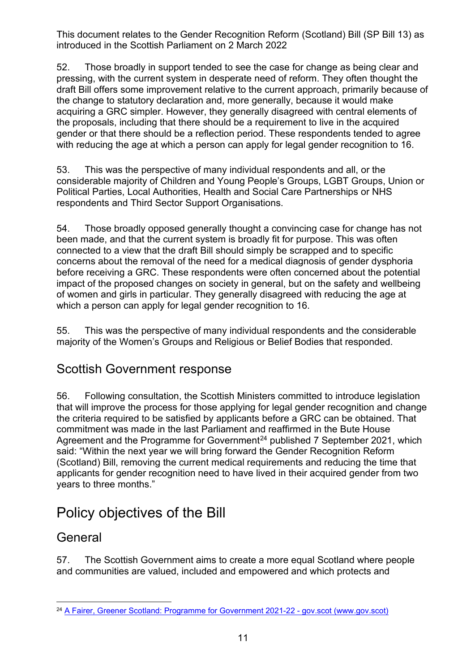52. Those broadly in support tended to see the case for change as being clear and pressing, with the current system in desperate need of reform. They often thought the draft Bill offers some improvement relative to the current approach, primarily because of the change to statutory declaration and, more generally, because it would make acquiring a GRC simpler. However, they generally disagreed with central elements of the proposals, including that there should be a requirement to live in the acquired gender or that there should be a reflection period. These respondents tended to agree with reducing the age at which a person can apply for legal gender recognition to 16.

53. This was the perspective of many individual respondents and all, or the considerable majority of Children and Young People's Groups, LGBT Groups, Union or Political Parties, Local Authorities, Health and Social Care Partnerships or NHS respondents and Third Sector Support Organisations.

54. Those broadly opposed generally thought a convincing case for change has not been made, and that the current system is broadly fit for purpose. This was often connected to a view that the draft Bill should simply be scrapped and to specific concerns about the removal of the need for a medical diagnosis of gender dysphoria before receiving a GRC. These respondents were often concerned about the potential impact of the proposed changes on society in general, but on the safety and wellbeing of women and girls in particular. They generally disagreed with reducing the age at which a person can apply for legal gender recognition to 16.

55. This was the perspective of many individual respondents and the considerable majority of the Women's Groups and Religious or Belief Bodies that responded.

#### Scottish Government response

56. Following consultation, the Scottish Ministers committed to introduce legislation that will improve the process for those applying for legal gender recognition and change the criteria required to be satisfied by applicants before a GRC can be obtained. That commitment was made in the last Parliament and reaffirmed in the Bute House Agreement and the Programme for Government<sup>[24](#page-10-0)</sup> published 7 September 2021, which said: "Within the next year we will bring forward the Gender Recognition Reform (Scotland) Bill, removing the current medical requirements and reducing the time that applicants for gender recognition need to have lived in their acquired gender from two years to three months."

## Policy objectives of the Bill

## **General**

57. The Scottish Government aims to create a more equal Scotland where people and communities are valued, included and empowered and which protects and

<span id="page-10-0"></span><sup>24</sup> [A Fairer, Greener Scotland: Programme for Government 2021-22 -](https://www.gov.scot/publications/fairer-greener-scotland-programme-government-2021-22/) gov.scot (www.gov.scot)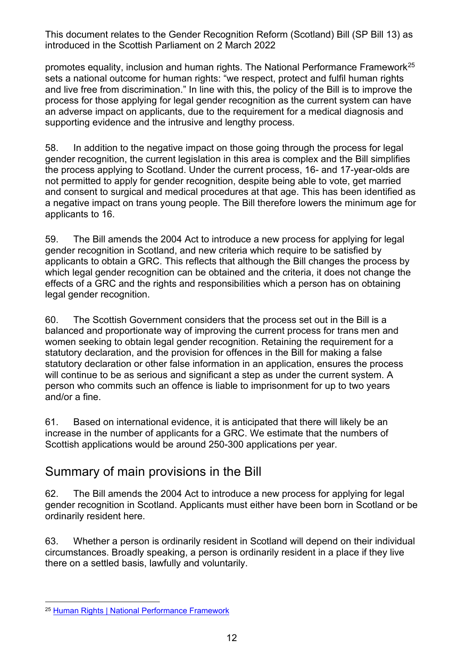promotes equality, inclusion and human rights. The National Performance Framework<sup>25</sup> sets a national outcome for human rights: "we respect, protect and fulfil human rights and live free from discrimination." In line with this, the policy of the Bill is to improve the process for those applying for legal gender recognition as the current system can have an adverse impact on applicants, due to the requirement for a medical diagnosis and supporting evidence and the intrusive and lengthy process.

58. In addition to the negative impact on those going through the process for legal gender recognition, the current legislation in this area is complex and the Bill simplifies the process applying to Scotland. Under the current process, 16- and 17-year-olds are not permitted to apply for gender recognition, despite being able to vote, get married and consent to surgical and medical procedures at that age. This has been identified as a negative impact on trans young people. The Bill therefore lowers the minimum age for applicants to 16.

59. The Bill amends the 2004 Act to introduce a new process for applying for legal gender recognition in Scotland, and new criteria which require to be satisfied by applicants to obtain a GRC. This reflects that although the Bill changes the process by which legal gender recognition can be obtained and the criteria, it does not change the effects of a GRC and the rights and responsibilities which a person has on obtaining legal gender recognition.

60. The Scottish Government considers that the process set out in the Bill is a balanced and proportionate way of improving the current process for trans men and women seeking to obtain legal gender recognition. Retaining the requirement for a statutory declaration, and the provision for offences in the Bill for making a false statutory declaration or other false information in an application, ensures the process will continue to be as serious and significant a step as under the current system. A person who commits such an offence is liable to imprisonment for up to two years and/or a fine.

61. Based on international evidence, it is anticipated that there will likely be an increase in the number of applicants for a GRC. We estimate that the numbers of Scottish applications would be around 250-300 applications per year.

## Summary of main provisions in the Bill

62. The Bill amends the 2004 Act to introduce a new process for applying for legal gender recognition in Scotland. Applicants must either have been born in Scotland or be ordinarily resident here.

63. Whether a person is ordinarily resident in Scotland will depend on their individual circumstances. Broadly speaking, a person is ordinarily resident in a place if they live there on a settled basis, lawfully and voluntarily.

<span id="page-11-0"></span><sup>25</sup> [Human Rights | National Performance Framework](https://nationalperformance.gov.scot/national-outcomes/human-rights)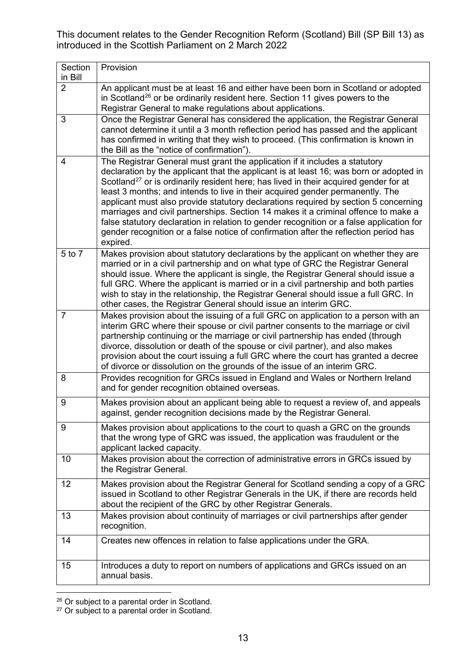| Section                   | Provision                                                                                                                                                                  |
|---------------------------|----------------------------------------------------------------------------------------------------------------------------------------------------------------------------|
| in Bill<br>$\overline{2}$ | An applicant must be at least 16 and either have been born in Scotland or adopted                                                                                          |
|                           | in Scotland <sup>26</sup> or be ordinarily resident here. Section 11 gives powers to the                                                                                   |
|                           | Registrar General to make regulations about applications.                                                                                                                  |
| 3                         | Once the Registrar General has considered the application, the Registrar General                                                                                           |
|                           | cannot determine it until a 3 month reflection period has passed and the applicant                                                                                         |
|                           | has confirmed in writing that they wish to proceed. (This confirmation is known in<br>the Bill as the "notice of confirmation").                                           |
| 4                         | The Registrar General must grant the application if it includes a statutory                                                                                                |
|                           | declaration by the applicant that the applicant is at least 16; was born or adopted in                                                                                     |
|                           | Scotland <sup>27</sup> or is ordinarily resident here; has lived in their acquired gender for at                                                                           |
|                           | least 3 months; and intends to live in their acquired gender permanently. The<br>applicant must also provide statutory declarations required by section 5 concerning       |
|                           | marriages and civil partnerships. Section 14 makes it a criminal offence to make a                                                                                         |
|                           | false statutory declaration in relation to gender recognition or a false application for                                                                                   |
|                           | gender recognition or a false notice of confirmation after the reflection period has<br>expired.                                                                           |
| 5 to 7                    | Makes provision about statutory declarations by the applicant on whether they are                                                                                          |
|                           | married or in a civil partnership and on what type of GRC the Registrar General                                                                                            |
|                           | should issue. Where the applicant is single, the Registrar General should issue a                                                                                          |
|                           | full GRC. Where the applicant is married or in a civil partnership and both parties<br>wish to stay in the relationship, the Registrar General should issue a full GRC. In |
|                           | other cases, the Registrar General should issue an interim GRC.                                                                                                            |
| $\overline{7}$            | Makes provision about the issuing of a full GRC on application to a person with an                                                                                         |
|                           | interim GRC where their spouse or civil partner consents to the marriage or civil<br>partnership continuing or the marriage or civil partnership has ended (through        |
|                           | divorce, dissolution or death of the spouse or civil partner), and also makes                                                                                              |
|                           | provision about the court issuing a full GRC where the court has granted a decree                                                                                          |
|                           | of divorce or dissolution on the grounds of the issue of an interim GRC.                                                                                                   |
| 8                         | Provides recognition for GRCs issued in England and Wales or Northern Ireland<br>and for gender recognition obtained overseas.                                             |
| 9                         | Makes provision about an applicant being able to request a review of, and appeals<br>against, gender recognition decisions made by the Registrar General.                  |
| 9                         | Makes provision about applications to the court to quash a GRC on the grounds                                                                                              |
|                           | that the wrong type of GRC was issued, the application was fraudulent or the<br>applicant lacked capacity.                                                                 |
| 10                        | Makes provision about the correction of administrative errors in GRCs issued by                                                                                            |
|                           | the Registrar General.                                                                                                                                                     |
| 12                        | Makes provision about the Registrar General for Scotland sending a copy of a GRC                                                                                           |
|                           | issued in Scotland to other Registrar Generals in the UK, if there are records held                                                                                        |
| 13                        | about the recipient of the GRC by other Registrar Generals.<br>Makes provision about continuity of marriages or civil partnerships after gender                            |
|                           | recognition.                                                                                                                                                               |
| 14                        | Creates new offences in relation to false applications under the GRA.                                                                                                      |
| 15                        | Introduces a duty to report on numbers of applications and GRCs issued on an                                                                                               |
|                           | annual basis.                                                                                                                                                              |

<span id="page-12-0"></span> $26$  Or subject to a parental order in Scotland.

<span id="page-12-1"></span> $27$  Or subject to a parental order in Scotland.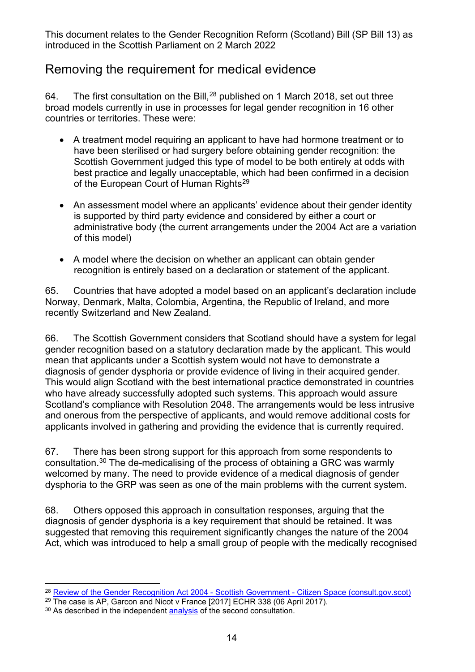#### Removing the requirement for medical evidence

64. The first consultation on the Bill, $^{28}$  $^{28}$  $^{28}$  published on 1 March 2018, set out three broad models currently in use in processes for legal gender recognition in 16 other countries or territories. These were:

- A treatment model requiring an applicant to have had hormone treatment or to have been sterilised or had surgery before obtaining gender recognition: the Scottish Government judged this type of model to be both entirely at odds with best practice and legally unacceptable, which had been confirmed in a decision of the European Court of Human Rights<sup>[29](#page-13-1)</sup>
- An assessment model where an applicants' evidence about their gender identity is supported by third party evidence and considered by either a court or administrative body (the current arrangements under the 2004 Act are a variation of this model)
- A model where the decision on whether an applicant can obtain gender recognition is entirely based on a declaration or statement of the applicant.

65. Countries that have adopted a model based on an applicant's declaration include Norway, Denmark, Malta, Colombia, Argentina, the Republic of Ireland, and more recently Switzerland and New Zealand.

66. The Scottish Government considers that Scotland should have a system for legal gender recognition based on a statutory declaration made by the applicant. This would mean that applicants under a Scottish system would not have to demonstrate a diagnosis of gender dysphoria or provide evidence of living in their acquired gender. This would align Scotland with the best international practice demonstrated in countries who have already successfully adopted such systems. This approach would assure Scotland's compliance with Resolution 2048. The arrangements would be less intrusive and onerous from the perspective of applicants, and would remove additional costs for applicants involved in gathering and providing the evidence that is currently required.

67. There has been strong support for this approach from some respondents to consultation. [30](#page-13-2) The de-medicalising of the process of obtaining a GRC was warmly welcomed by many. The need to provide evidence of a medical diagnosis of gender dysphoria to the GRP was seen as one of the main problems with the current system.

68. Others opposed this approach in consultation responses, arguing that the diagnosis of gender dysphoria is a key requirement that should be retained. It was suggested that removing this requirement significantly changes the nature of the 2004 Act, which was introduced to help a small group of people with the medically recognised

<span id="page-13-0"></span><sup>&</sup>lt;sup>28</sup> [Review of the Gender Recognition Act 2004 -](https://consult.gov.scot/family-law/review-of-the-gender-recognition-act-2004/) Scottish Government - Citizen Space (consult.gov.scot)

<span id="page-13-1"></span><sup>&</sup>lt;sup>29</sup> The case is AP, Garcon and Nicot v France [2017] ECHR 338 (06 April 2017).

<span id="page-13-2"></span><sup>&</sup>lt;sup>30</sup> As described in the independent [analysis](https://www.gov.scot/binaries/content/documents/govscot/publications/consultation-analysis/2021/09/gender-recognition-reform-scotland-bill-analysis-responses-public-consultation-exercise/documents/gender-recognition-reform-scotland-bill-analysis-responses-public-consultation-exercise-august-2021/gender-recognition-reform-scotland-bill-analysis-responses-public-consultation-exercise-august-2021/govscot%3Adocument/gender-recognition-reform-scotland-bill-analysis-responses-public-consultation-exercise-august-2021.pdf?forceDownload=true) of the second consultation.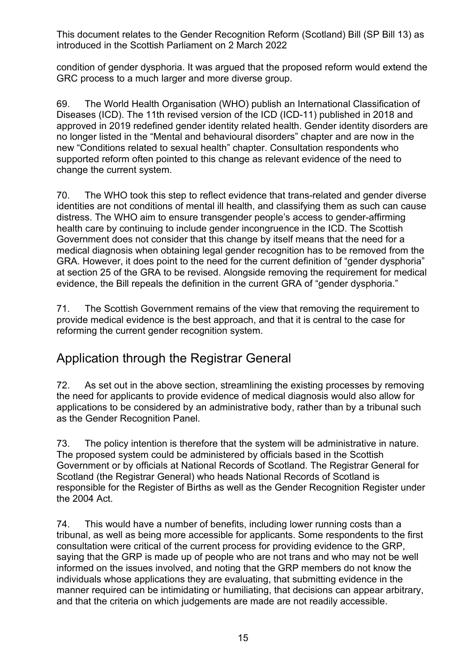condition of gender dysphoria. It was argued that the proposed reform would extend the GRC process to a much larger and more diverse group.

69. The World Health Organisation (WHO) publish an International Classification of Diseases (ICD). The 11th revised version of the ICD (ICD-11) published in 2018 and approved in 2019 redefined gender identity related health. Gender identity disorders are no longer listed in the "Mental and behavioural disorders" chapter and are now in the new "Conditions related to sexual health" chapter. Consultation respondents who supported reform often pointed to this change as relevant evidence of the need to change the current system.

70. The WHO took this step to reflect evidence that trans-related and gender diverse identities are not conditions of mental ill health, and classifying them as such can cause distress. The WHO aim to ensure transgender people's access to gender-affirming health care by continuing to include gender incongruence in the ICD. The Scottish Government does not consider that this change by itself means that the need for a medical diagnosis when obtaining legal gender recognition has to be removed from the GRA. However, it does point to the need for the current definition of "gender dysphoria" at section 25 of the GRA to be revised. Alongside removing the requirement for medical evidence, the Bill repeals the definition in the current GRA of "gender dysphoria."

71. The Scottish Government remains of the view that removing the requirement to provide medical evidence is the best approach, and that it is central to the case for reforming the current gender recognition system.

## Application through the Registrar General

72. As set out in the above section, streamlining the existing processes by removing the need for applicants to provide evidence of medical diagnosis would also allow for applications to be considered by an administrative body, rather than by a tribunal such as the Gender Recognition Panel.

73. The policy intention is therefore that the system will be administrative in nature. The proposed system could be administered by officials based in the Scottish Government or by officials at National Records of Scotland. The Registrar General for Scotland (the Registrar General) who heads National Records of Scotland is responsible for the Register of Births as well as the Gender Recognition Register under the 2004 Act.

74. This would have a number of benefits, including lower running costs than a tribunal, as well as being more accessible for applicants. Some respondents to the first consultation were critical of the current process for providing evidence to the GRP, saying that the GRP is made up of people who are not trans and who may not be well informed on the issues involved, and noting that the GRP members do not know the individuals whose applications they are evaluating, that submitting evidence in the manner required can be intimidating or humiliating, that decisions can appear arbitrary, and that the criteria on which judgements are made are not readily accessible.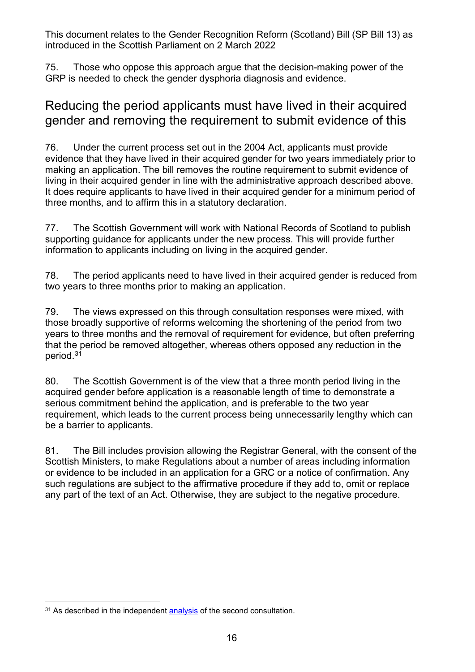75. Those who oppose this approach argue that the decision-making power of the GRP is needed to check the gender dysphoria diagnosis and evidence.

#### Reducing the period applicants must have lived in their acquired gender and removing the requirement to submit evidence of this

76. Under the current process set out in the 2004 Act, applicants must provide evidence that they have lived in their acquired gender for two years immediately prior to making an application. The bill removes the routine requirement to submit evidence of living in their acquired gender in line with the administrative approach described above. It does require applicants to have lived in their acquired gender for a minimum period of three months, and to affirm this in a statutory declaration.

77. The Scottish Government will work with National Records of Scotland to publish supporting guidance for applicants under the new process. This will provide further information to applicants including on living in the acquired gender.

78. The period applicants need to have lived in their acquired gender is reduced from two years to three months prior to making an application.

79. The views expressed on this through consultation responses were mixed, with those broadly supportive of reforms welcoming the shortening of the period from two years to three months and the removal of requirement for evidence, but often preferring that the period be removed altogether, whereas others opposed any reduction in the period. [31](#page-15-0)

80. The Scottish Government is of the view that a three month period living in the acquired gender before application is a reasonable length of time to demonstrate a serious commitment behind the application, and is preferable to the two year requirement, which leads to the current process being unnecessarily lengthy which can be a barrier to applicants.

81. The Bill includes provision allowing the Registrar General, with the consent of the Scottish Ministers, to make Regulations about a number of areas including information or evidence to be included in an application for a GRC or a notice of confirmation. Any such regulations are subject to the affirmative procedure if they add to, omit or replace any part of the text of an Act. Otherwise, they are subject to the negative procedure.

<span id="page-15-0"></span><sup>&</sup>lt;sup>31</sup> As described in the independent [analysis](https://www.gov.scot/binaries/content/documents/govscot/publications/consultation-analysis/2021/09/gender-recognition-reform-scotland-bill-analysis-responses-public-consultation-exercise/documents/gender-recognition-reform-scotland-bill-analysis-responses-public-consultation-exercise-august-2021/gender-recognition-reform-scotland-bill-analysis-responses-public-consultation-exercise-august-2021/govscot%3Adocument/gender-recognition-reform-scotland-bill-analysis-responses-public-consultation-exercise-august-2021.pdf?forceDownload=true) of the second consultation.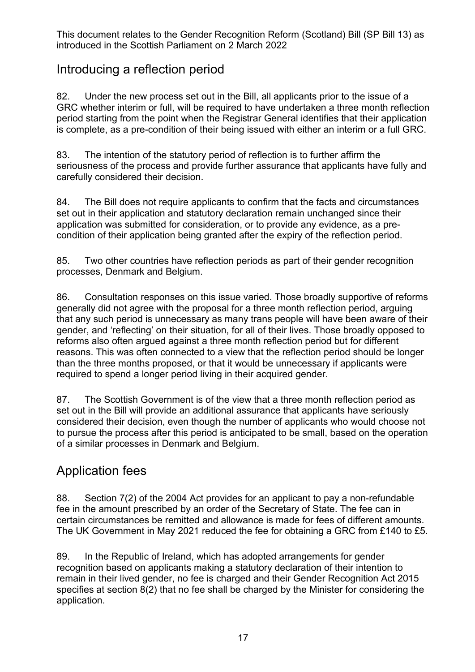#### Introducing a reflection period

82. Under the new process set out in the Bill, all applicants prior to the issue of a GRC whether interim or full, will be required to have undertaken a three month reflection period starting from the point when the Registrar General identifies that their application is complete, as a pre-condition of their being issued with either an interim or a full GRC.

83. The intention of the statutory period of reflection is to further affirm the seriousness of the process and provide further assurance that applicants have fully and carefully considered their decision.

84. The Bill does not require applicants to confirm that the facts and circumstances set out in their application and statutory declaration remain unchanged since their application was submitted for consideration, or to provide any evidence, as a precondition of their application being granted after the expiry of the reflection period.

85. Two other countries have reflection periods as part of their gender recognition processes, Denmark and Belgium.

86. Consultation responses on this issue varied. Those broadly supportive of reforms generally did not agree with the proposal for a three month reflection period, arguing that any such period is unnecessary as many trans people will have been aware of their gender, and 'reflecting' on their situation, for all of their lives. Those broadly opposed to reforms also often argued against a three month reflection period but for different reasons. This was often connected to a view that the reflection period should be longer than the three months proposed, or that it would be unnecessary if applicants were required to spend a longer period living in their acquired gender.

87. The Scottish Government is of the view that a three month reflection period as set out in the Bill will provide an additional assurance that applicants have seriously considered their decision, even though the number of applicants who would choose not to pursue the process after this period is anticipated to be small, based on the operation of a similar processes in Denmark and Belgium.

#### Application fees

88. Section 7(2) of the 2004 Act provides for an applicant to pay a non-refundable fee in the amount prescribed by an order of the Secretary of State. The fee can in certain circumstances be remitted and allowance is made for fees of different amounts. The UK Government in May 2021 reduced the fee for obtaining a GRC from £140 to £5.

89. In the Republic of Ireland, which has adopted arrangements for gender recognition based on applicants making a statutory declaration of their intention to remain in their lived gender, no fee is charged and their Gender Recognition Act 2015 specifies at section 8(2) that no fee shall be charged by the Minister for considering the application.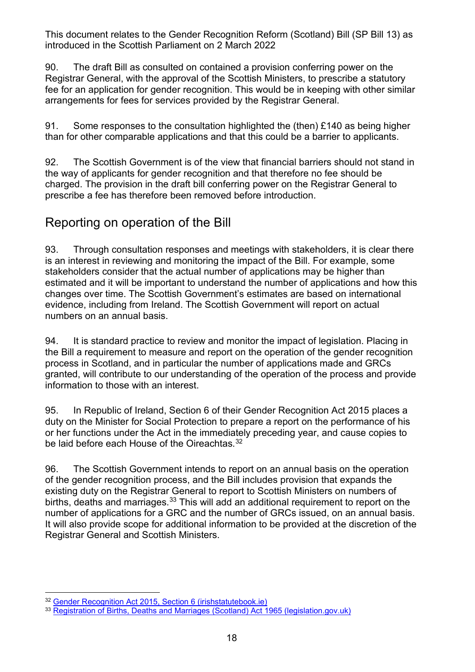90. The draft Bill as consulted on contained a provision conferring power on the Registrar General, with the approval of the Scottish Ministers, to prescribe a statutory fee for an application for gender recognition. This would be in keeping with other similar arrangements for fees for services provided by the Registrar General.

91. Some responses to the consultation highlighted the (then) £140 as being higher than for other comparable applications and that this could be a barrier to applicants.

92. The Scottish Government is of the view that financial barriers should not stand in the way of applicants for gender recognition and that therefore no fee should be charged. The provision in the draft bill conferring power on the Registrar General to prescribe a fee has therefore been removed before introduction.

#### Reporting on operation of the Bill

93. Through consultation responses and meetings with stakeholders, it is clear there is an interest in reviewing and monitoring the impact of the Bill. For example, some stakeholders consider that the actual number of applications may be higher than estimated and it will be important to understand the number of applications and how this changes over time. The Scottish Government's estimates are based on international evidence, including from Ireland. The Scottish Government will report on actual numbers on an annual basis.

94. It is standard practice to review and monitor the impact of legislation. Placing in the Bill a requirement to measure and report on the operation of the gender recognition process in Scotland, and in particular the number of applications made and GRCs granted, will contribute to our understanding of the operation of the process and provide information to those with an interest.

95. In Republic of Ireland, Section 6 of their Gender Recognition Act 2015 places a duty on the Minister for Social Protection to prepare a report on the performance of his or her functions under the Act in the immediately preceding year, and cause copies to be laid before each House of the Oireachtas.<sup>[32](#page-17-0)</sup>

96. The Scottish Government intends to report on an annual basis on the operation of the gender recognition process, and the Bill includes provision that expands the existing duty on the Registrar General to report to Scottish Ministers on numbers of births, deaths and marriages.<sup>[33](#page-17-1)</sup> This will add an additional requirement to report on the number of applications for a GRC and the number of GRCs issued, on an annual basis. It will also provide scope for additional information to be provided at the discretion of the Registrar General and Scottish Ministers.

<span id="page-17-0"></span><sup>32</sup> [Gender Recognition Act 2015, Section 6 \(irishstatutebook.ie\)](https://www.irishstatutebook.ie/eli/2015/act/25/section/6/enacted/en/html#sec6)

<span id="page-17-1"></span><sup>33</sup> [Registration of Births, Deaths and Marriages \(Scotland\) Act 1965 \(legislation.gov.uk\)](https://www.legislation.gov.uk/ukpga/1965/49/section/1/2009-04-06?view=plain)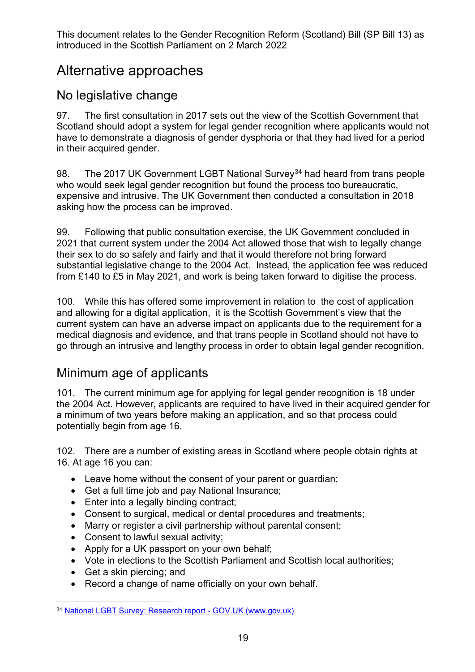## Alternative approaches

#### No legislative change

97. The first consultation in 2017 sets out the view of the Scottish Government that Scotland should adopt a system for legal gender recognition where applicants would not have to demonstrate a diagnosis of gender dysphoria or that they had lived for a period in their acquired gender.

98. The 2017 UK Government LGBT National Survey<sup>[34](#page-18-0)</sup> had heard from trans people who would seek legal gender recognition but found the process too bureaucratic, expensive and intrusive. The UK Government then conducted a consultation in 2018 asking how the process can be improved.

99. Following that public consultation exercise, the UK Government concluded in 2021 that current system under the 2004 Act allowed those that wish to legally change their sex to do so safely and fairly and that it would therefore not bring forward substantial legislative change to the 2004 Act. Instead, the application fee was reduced from £140 to £5 in May 2021, and work is being taken forward to digitise the process.

100. While this has offered some improvement in relation to the cost of application and allowing for a digital application, it is the Scottish Government's view that the current system can have an adverse impact on applicants due to the requirement for a medical diagnosis and evidence, and that trans people in Scotland should not have to go through an intrusive and lengthy process in order to obtain legal gender recognition.

#### Minimum age of applicants

101. The current minimum age for applying for legal gender recognition is 18 under the 2004 Act. However, applicants are required to have lived in their acquired gender for a minimum of two years before making an application, and so that process could potentially begin from age 16.

102. There are a number of existing areas in Scotland where people obtain rights at 16. At age 16 you can:

- Leave home without the consent of your parent or guardian;
- Get a full time job and pay National Insurance;
- Enter into a legally binding contract;
- Consent to surgical, medical or dental procedures and treatments;
- Marry or register a civil partnership without parental consent;
- Consent to lawful sexual activity;
- Apply for a UK passport on your own behalf;
- Vote in elections to the Scottish Parliament and Scottish local authorities;
- Get a skin piercing; and
- Record a change of name officially on your own behalf.

<span id="page-18-0"></span><sup>34</sup> [National LGBT Survey: Research report -](https://www.gov.uk/government/publications/national-lgbt-survey-summary-report) GOV.UK (www.gov.uk)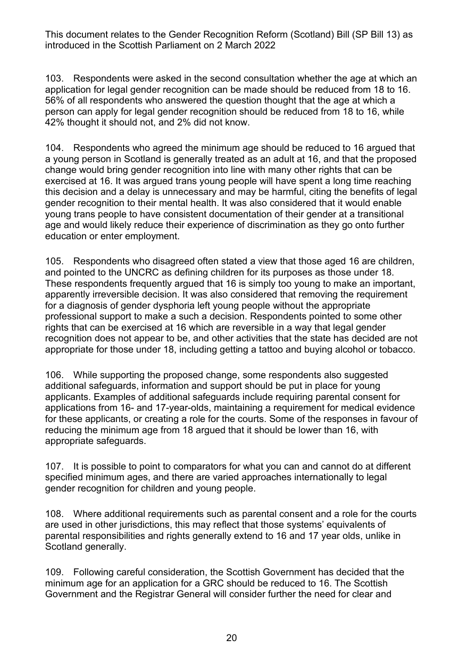103. Respondents were asked in the second consultation whether the age at which an application for legal gender recognition can be made should be reduced from 18 to 16. 56% of all respondents who answered the question thought that the age at which a person can apply for legal gender recognition should be reduced from 18 to 16, while 42% thought it should not, and 2% did not know.

104. Respondents who agreed the minimum age should be reduced to 16 argued that a young person in Scotland is generally treated as an adult at 16, and that the proposed change would bring gender recognition into line with many other rights that can be exercised at 16. It was argued trans young people will have spent a long time reaching this decision and a delay is unnecessary and may be harmful, citing the benefits of legal gender recognition to their mental health. It was also considered that it would enable young trans people to have consistent documentation of their gender at a transitional age and would likely reduce their experience of discrimination as they go onto further education or enter employment.

105. Respondents who disagreed often stated a view that those aged 16 are children, and pointed to the UNCRC as defining children for its purposes as those under 18. These respondents frequently argued that 16 is simply too young to make an important, apparently irreversible decision. It was also considered that removing the requirement for a diagnosis of gender dysphoria left young people without the appropriate professional support to make a such a decision. Respondents pointed to some other rights that can be exercised at 16 which are reversible in a way that legal gender recognition does not appear to be, and other activities that the state has decided are not appropriate for those under 18, including getting a tattoo and buying alcohol or tobacco.

106. While supporting the proposed change, some respondents also suggested additional safeguards, information and support should be put in place for young applicants. Examples of additional safeguards include requiring parental consent for applications from 16- and 17-year-olds, maintaining a requirement for medical evidence for these applicants, or creating a role for the courts. Some of the responses in favour of reducing the minimum age from 18 argued that it should be lower than 16, with appropriate safeguards.

107. It is possible to point to comparators for what you can and cannot do at different specified minimum ages, and there are varied approaches internationally to legal gender recognition for children and young people.

108. Where additional requirements such as parental consent and a role for the courts are used in other jurisdictions, this may reflect that those systems' equivalents of parental responsibilities and rights generally extend to 16 and 17 year olds, unlike in Scotland generally.

109. Following careful consideration, the Scottish Government has decided that the minimum age for an application for a GRC should be reduced to 16. The Scottish Government and the Registrar General will consider further the need for clear and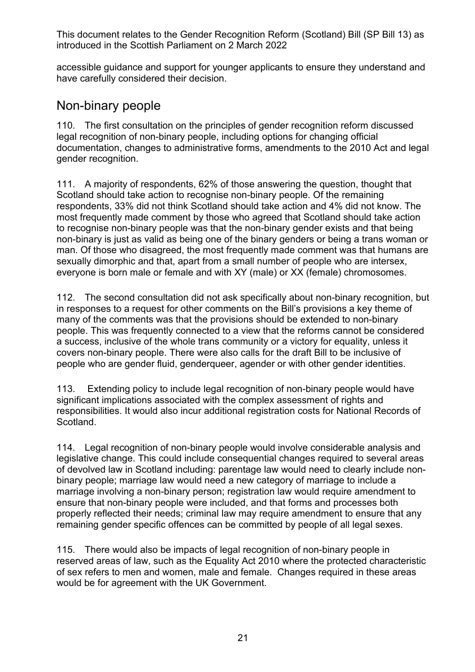accessible guidance and support for younger applicants to ensure they understand and have carefully considered their decision.

#### Non-binary people

110. The first consultation on the principles of gender recognition reform discussed legal recognition of non-binary people, including options for changing official documentation, changes to administrative forms, amendments to the 2010 Act and legal gender recognition.

111. A majority of respondents, 62% of those answering the question, thought that Scotland should take action to recognise non-binary people. Of the remaining respondents, 33% did not think Scotland should take action and 4% did not know. The most frequently made comment by those who agreed that Scotland should take action to recognise non-binary people was that the non-binary gender exists and that being non-binary is just as valid as being one of the binary genders or being a trans woman or man. Of those who disagreed, the most frequently made comment was that humans are sexually dimorphic and that, apart from a small number of people who are intersex, everyone is born male or female and with XY (male) or XX (female) chromosomes.

112. The second consultation did not ask specifically about non-binary recognition, but in responses to a request for other comments on the Bill's provisions a key theme of many of the comments was that the provisions should be extended to non-binary people. This was frequently connected to a view that the reforms cannot be considered a success, inclusive of the whole trans community or a victory for equality, unless it covers non-binary people. There were also calls for the draft Bill to be inclusive of people who are gender fluid, genderqueer, agender or with other gender identities.

113. Extending policy to include legal recognition of non-binary people would have significant implications associated with the complex assessment of rights and responsibilities. It would also incur additional registration costs for National Records of Scotland.

114. Legal recognition of non-binary people would involve considerable analysis and legislative change. This could include consequential changes required to several areas of devolved law in Scotland including: parentage law would need to clearly include nonbinary people; marriage law would need a new category of marriage to include a marriage involving a non-binary person; registration law would require amendment to ensure that non-binary people were included, and that forms and processes both properly reflected their needs; criminal law may require amendment to ensure that any remaining gender specific offences can be committed by people of all legal sexes.

115. There would also be impacts of legal recognition of non-binary people in reserved areas of law, such as the Equality Act 2010 where the protected characteristic of sex refers to men and women, male and female. Changes required in these areas would be for agreement with the UK Government.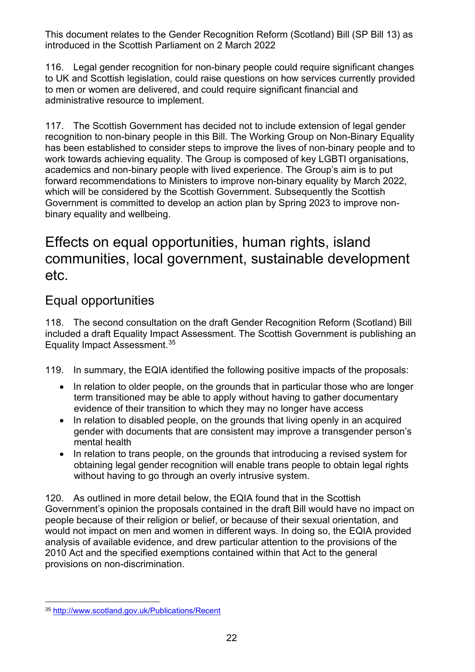116. Legal gender recognition for non-binary people could require significant changes to UK and Scottish legislation, could raise questions on how services currently provided to men or women are delivered, and could require significant financial and administrative resource to implement.

117. The Scottish Government has decided not to include extension of legal gender recognition to non-binary people in this Bill. The Working Group on Non-Binary Equality has been established to consider steps to improve the lives of non-binary people and to work towards achieving equality. The Group is composed of key LGBTI organisations, academics and non-binary people with lived experience. The Group's aim is to put forward recommendations to Ministers to improve non-binary equality by March 2022, which will be considered by the Scottish Government. Subsequently the Scottish Government is committed to develop an action plan by Spring 2023 to improve nonbinary equality and wellbeing.

## Effects on equal opportunities, human rights, island communities, local government, sustainable development etc.

## Equal opportunities

118. The second consultation on the draft Gender Recognition Reform (Scotland) Bill included a draft Equality Impact Assessment. The Scottish Government is publishing an Equality Impact Assessment.[35](#page-21-0)

119. In summary, the EQIA identified the following positive impacts of the proposals:

- In relation to older people, on the grounds that in particular those who are longer term transitioned may be able to apply without having to gather documentary evidence of their transition to which they may no longer have access
- In relation to disabled people, on the grounds that living openly in an acquired gender with documents that are consistent may improve a transgender person's mental health
- In relation to trans people, on the grounds that introducing a revised system for obtaining legal gender recognition will enable trans people to obtain legal rights without having to go through an overly intrusive system.

120. As outlined in more detail below, the EQIA found that in the Scottish Government's opinion the proposals contained in the draft Bill would have no impact on people because of their religion or belief, or because of their sexual orientation, and would not impact on men and women in different ways. In doing so, the EQIA provided analysis of available evidence, and drew particular attention to the provisions of the 2010 Act and the specified exemptions contained within that Act to the general provisions on non-discrimination.

<span id="page-21-0"></span><sup>35</sup> <http://www.scotland.gov.uk/Publications/Recent>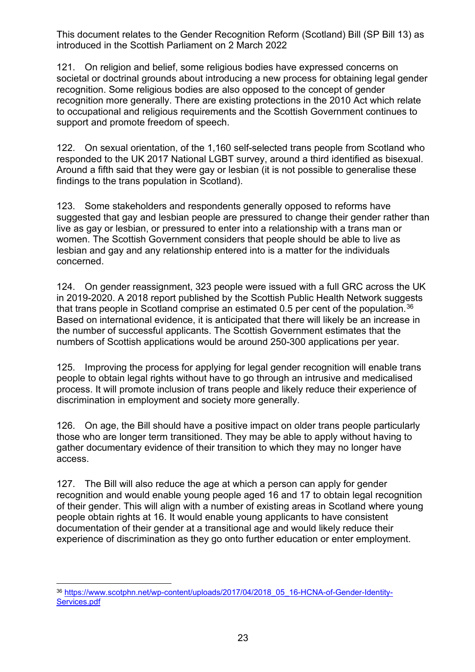121. On religion and belief, some religious bodies have expressed concerns on societal or doctrinal grounds about introducing a new process for obtaining legal gender recognition. Some religious bodies are also opposed to the concept of gender recognition more generally. There are existing protections in the 2010 Act which relate to occupational and religious requirements and the Scottish Government continues to support and promote freedom of speech.

122. On sexual orientation, of the 1,160 self-selected trans people from Scotland who responded to the UK 2017 National LGBT survey, around a third identified as bisexual. Around a fifth said that they were gay or lesbian (it is not possible to generalise these findings to the trans population in Scotland).

123. Some stakeholders and respondents generally opposed to reforms have suggested that gay and lesbian people are pressured to change their gender rather than live as gay or lesbian, or pressured to enter into a relationship with a trans man or women. The Scottish Government considers that people should be able to live as lesbian and gay and any relationship entered into is a matter for the individuals concerned.

124. On gender reassignment, 323 people were issued with a full GRC across the UK in 2019-2020. A 2018 report published by the Scottish Public Health Network suggests that trans people in Scotland comprise an estimated 0.5 per cent of the population.<sup>[36](#page-22-0)</sup> Based on international evidence, it is anticipated that there will likely be an increase in the number of successful applicants. The Scottish Government estimates that the numbers of Scottish applications would be around 250-300 applications per year.

125. Improving the process for applying for legal gender recognition will enable trans people to obtain legal rights without have to go through an intrusive and medicalised process. It will promote inclusion of trans people and likely reduce their experience of discrimination in employment and society more generally.

126. On age, the Bill should have a positive impact on older trans people particularly those who are longer term transitioned. They may be able to apply without having to gather documentary evidence of their transition to which they may no longer have access.

127. The Bill will also reduce the age at which a person can apply for gender recognition and would enable young people aged 16 and 17 to obtain legal recognition of their gender. This will align with a number of existing areas in Scotland where young people obtain rights at 16. It would enable young applicants to have consistent documentation of their gender at a transitional age and would likely reduce their experience of discrimination as they go onto further education or enter employment.

<span id="page-22-0"></span><sup>36</sup> [https://www.scotphn.net/wp-content/uploads/2017/04/2018\\_05\\_16-HCNA-of-Gender-Identity-](https://www.scotphn.net/wp-content/uploads/2017/04/2018_05_16-HCNA-of-Gender-Identity-Services.pdf)[Services.pdf](https://www.scotphn.net/wp-content/uploads/2017/04/2018_05_16-HCNA-of-Gender-Identity-Services.pdf)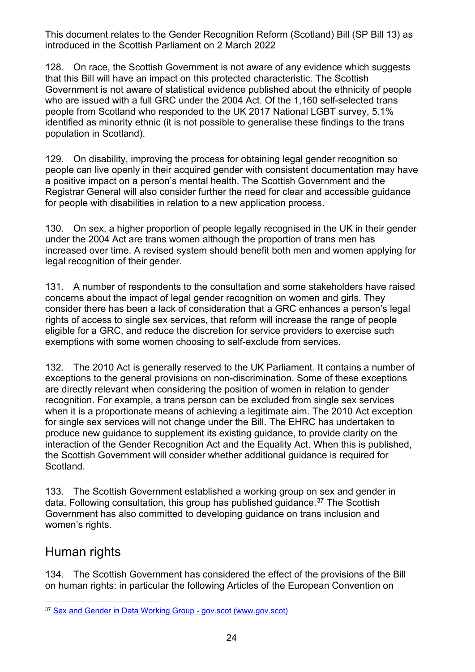128. On race, the Scottish Government is not aware of any evidence which suggests that this Bill will have an impact on this protected characteristic. The Scottish Government is not aware of statistical evidence published about the ethnicity of people who are issued with a full GRC under the 2004 Act. Of the 1,160 self-selected trans people from Scotland who responded to the UK 2017 National LGBT survey, 5.1% identified as minority ethnic (it is not possible to generalise these findings to the trans population in Scotland).

129. On disability, improving the process for obtaining legal gender recognition so people can live openly in their acquired gender with consistent documentation may have a positive impact on a person's mental health. The Scottish Government and the Registrar General will also consider further the need for clear and accessible guidance for people with disabilities in relation to a new application process.

130. On sex, a higher proportion of people legally recognised in the UK in their gender under the 2004 Act are trans women although the proportion of trans men has increased over time. A revised system should benefit both men and women applying for legal recognition of their gender.

131. A number of respondents to the consultation and some stakeholders have raised concerns about the impact of legal gender recognition on women and girls. They consider there has been a lack of consideration that a GRC enhances a person's legal rights of access to single sex services, that reform will increase the range of people eligible for a GRC, and reduce the discretion for service providers to exercise such exemptions with some women choosing to self-exclude from services.

132. The 2010 Act is generally reserved to the UK Parliament. It contains a number of exceptions to the general provisions on non-discrimination. Some of these exceptions are directly relevant when considering the position of women in relation to gender recognition. For example, a trans person can be excluded from single sex services when it is a proportionate means of achieving a legitimate aim. The 2010 Act exception for single sex services will not change under the Bill. The EHRC has undertaken to produce new guidance to supplement its existing guidance, to provide clarity on the interaction of the Gender Recognition Act and the Equality Act. When this is published, the Scottish Government will consider whether additional guidance is required for Scotland.

133. The Scottish Government established a working group on sex and gender in data. Following consultation, this group has published quidance.<sup>[37](#page-23-0)</sup> The Scottish Government has also committed to developing guidance on trans inclusion and women's rights.

#### Human rights

134. The Scottish Government has considered the effect of the provisions of the Bill on human rights: in particular the following Articles of the European Convention on

<span id="page-23-0"></span><sup>37</sup> [Sex and Gender in Data Working Group -](https://www.gov.scot/groups/sex-and-gender-in-data-working-group/) gov.scot (www.gov.scot)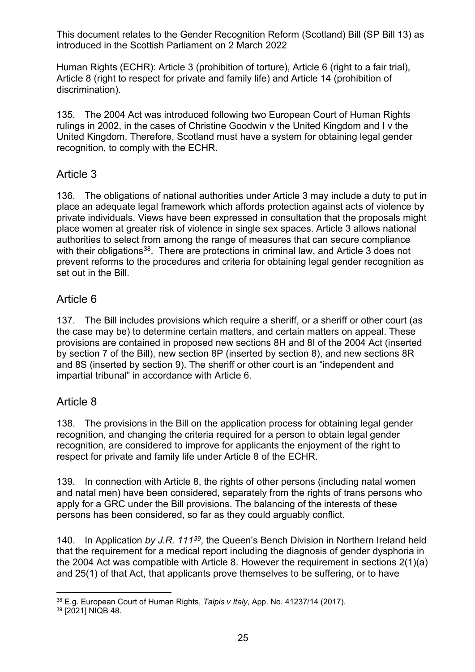Human Rights (ECHR): Article 3 (prohibition of torture), Article 6 (right to a fair trial), Article 8 (right to respect for private and family life) and Article 14 (prohibition of discrimination).

135. The 2004 Act was introduced following two European Court of Human Rights rulings in 2002, in the cases of Christine Goodwin v the United Kingdom and I v the United Kingdom. Therefore, Scotland must have a system for obtaining legal gender recognition, to comply with the ECHR.

#### Article 3

136. The obligations of national authorities under Article 3 may include a duty to put in place an adequate legal framework which affords protection against acts of violence by private individuals. Views have been expressed in consultation that the proposals might place women at greater risk of violence in single sex spaces. Article 3 allows national authorities to select from among the range of measures that can secure compliance with their obligations<sup>[38](#page-24-0)</sup>. There are protections in criminal law, and Article 3 does not prevent reforms to the procedures and criteria for obtaining legal gender recognition as set out in the Bill.

#### Article 6

137. The Bill includes provisions which require a sheriff, or a sheriff or other court (as the case may be) to determine certain matters, and certain matters on appeal. These provisions are contained in proposed new sections 8H and 8I of the 2004 Act (inserted by section 7 of the Bill), new section 8P (inserted by section 8), and new sections 8R and 8S (inserted by section 9). The sheriff or other court is an "independent and impartial tribunal" in accordance with Article 6.

#### Article 8

138. The provisions in the Bill on the application process for obtaining legal gender recognition, and changing the criteria required for a person to obtain legal gender recognition, are considered to improve for applicants the enjoyment of the right to respect for private and family life under Article 8 of the ECHR.

139. In connection with Article 8, the rights of other persons (including natal women and natal men) have been considered, separately from the rights of trans persons who apply for a GRC under the Bill provisions. The balancing of the interests of these persons has been considered, so far as they could arguably conflict.

140. In Application *by J.R. 111[39](#page-24-1)*, the Queen's Bench Division in Northern Ireland held that the requirement for a medical report including the diagnosis of gender dysphoria in the 2004 Act was compatible with Article 8. However the requirement in sections 2(1)(a) and 25(1) of that Act, that applicants prove themselves to be suffering, or to have

<span id="page-24-0"></span><sup>38</sup> E.g. European Court of Human Rights, *Talpis v Italy*, App. No. 41237/14 (2017).

<span id="page-24-1"></span><sup>39</sup> [2021] NIQB 48.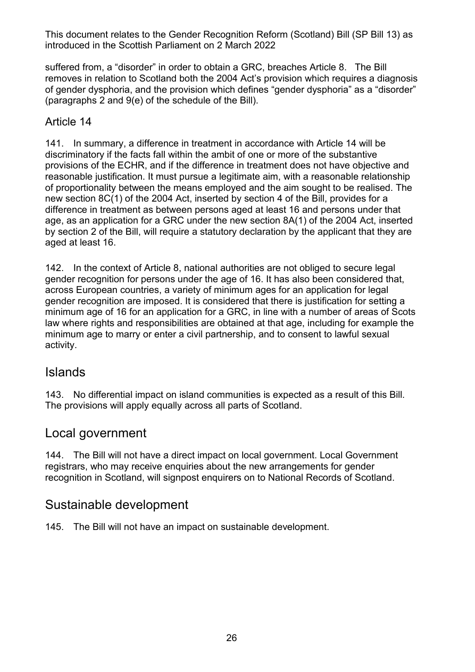suffered from, a "disorder" in order to obtain a GRC, breaches Article 8. The Bill removes in relation to Scotland both the 2004 Act's provision which requires a diagnosis of gender dysphoria, and the provision which defines "gender dysphoria" as a "disorder" (paragraphs 2 and 9(e) of the schedule of the Bill).

#### Article 14

141. In summary, a difference in treatment in accordance with Article 14 will be discriminatory if the facts fall within the ambit of one or more of the substantive provisions of the ECHR, and if the difference in treatment does not have objective and reasonable justification. It must pursue a legitimate aim, with a reasonable relationship of proportionality between the means employed and the aim sought to be realised. The new section 8C(1) of the 2004 Act, inserted by section 4 of the Bill, provides for a difference in treatment as between persons aged at least 16 and persons under that age, as an application for a GRC under the new section 8A(1) of the 2004 Act, inserted by section 2 of the Bill, will require a statutory declaration by the applicant that they are aged at least 16.

142. In the context of Article 8, national authorities are not obliged to secure legal gender recognition for persons under the age of 16. It has also been considered that, across European countries, a variety of minimum ages for an application for legal gender recognition are imposed. It is considered that there is justification for setting a minimum age of 16 for an application for a GRC, in line with a number of areas of Scots law where rights and responsibilities are obtained at that age, including for example the minimum age to marry or enter a civil partnership, and to consent to lawful sexual activity.

#### Islands

143. No differential impact on island communities is expected as a result of this Bill. The provisions will apply equally across all parts of Scotland.

#### Local government

144. The Bill will not have a direct impact on local government. Local Government registrars, who may receive enquiries about the new arrangements for gender recognition in Scotland, will signpost enquirers on to National Records of Scotland.

#### Sustainable development

145. The Bill will not have an impact on sustainable development.